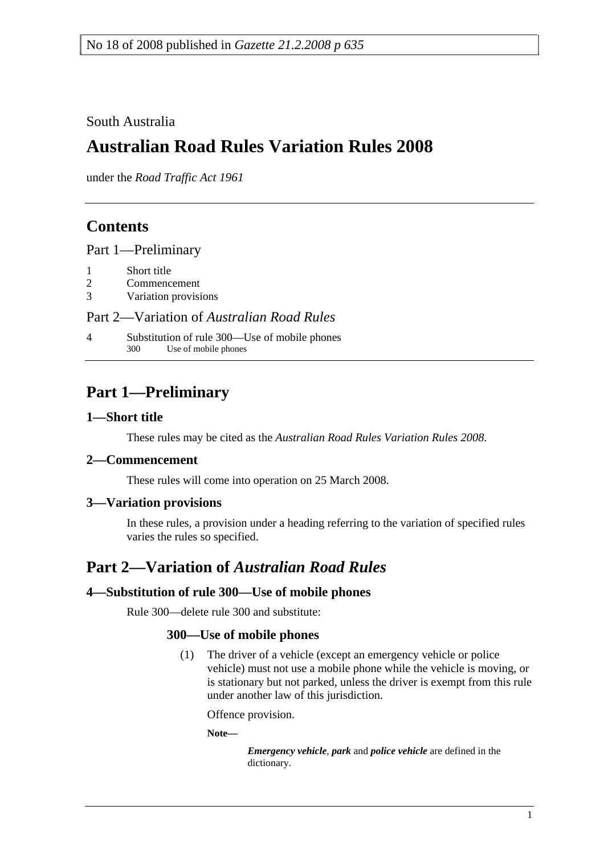### South Australia

# **Australian Road Rules Variation Rules 2008**

under the *Road Traffic Act 1961*

## **Contents**

Part 1—Preliminary

- 1 Short title
- 2 Commencement
- 3 Variation provisions

#### Part 2—Variation of *Australian Road Rules*

4 Substitution of rule 300—Use of mobile phones<br>300 Use of mobile phones Use of mobile phones

# **Part 1—Preliminary**

#### **1—Short title**

These rules may be cited as the *Australian Road Rules Variation Rules 2008*.

#### **2—Commencement**

These rules will come into operation on 25 March 2008.

#### **3—Variation provisions**

In these rules, a provision under a heading referring to the variation of specified rules varies the rules so specified.

### **Part 2—Variation of** *Australian Road Rules*

#### **4—Substitution of rule 300—Use of mobile phones**

Rule 300—delete rule 300 and substitute:

#### **300—Use of mobile phones**

 (1) The driver of a vehicle (except an emergency vehicle or police vehicle) must not use a mobile phone while the vehicle is moving, or is stationary but not parked, unless the driver is exempt from this rule under another law of this jurisdiction.

Offence provision.

**Note—** 

*Emergency vehicle*, *park* and *police vehicle* are defined in the dictionary.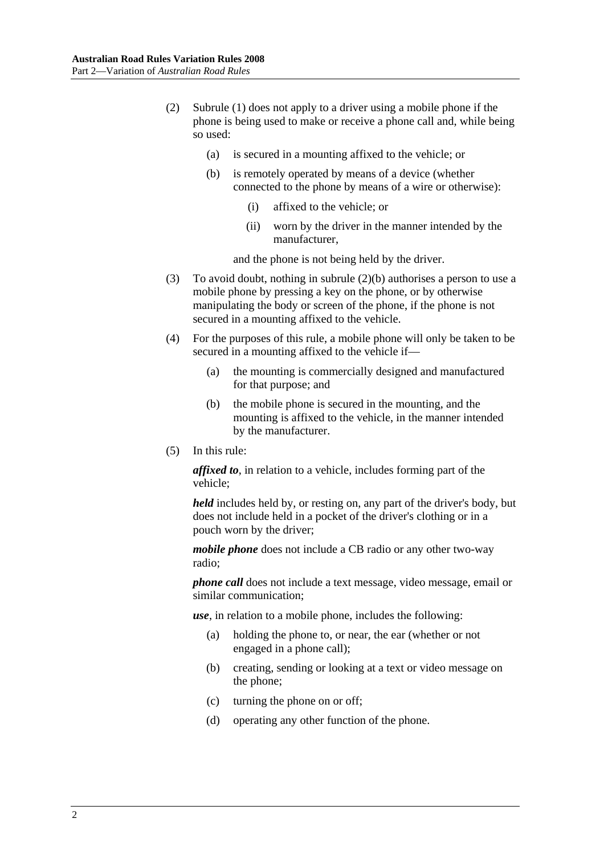- (2) Subrule (1) does not apply to a driver using a mobile phone if the phone is being used to make or receive a phone call and, while being so used:
	- (a) is secured in a mounting affixed to the vehicle; or
	- (b) is remotely operated by means of a device (whether connected to the phone by means of a wire or otherwise):
		- (i) affixed to the vehicle; or
		- (ii) worn by the driver in the manner intended by the manufacturer,

and the phone is not being held by the driver.

- (3) To avoid doubt, nothing in subrule (2)(b) authorises a person to use a mobile phone by pressing a key on the phone, or by otherwise manipulating the body or screen of the phone, if the phone is not secured in a mounting affixed to the vehicle.
- (4) For the purposes of this rule, a mobile phone will only be taken to be secured in a mounting affixed to the vehicle if—
	- (a) the mounting is commercially designed and manufactured for that purpose; and
	- (b) the mobile phone is secured in the mounting, and the mounting is affixed to the vehicle, in the manner intended by the manufacturer.
- (5) In this rule:

*affixed to*, in relation to a vehicle, includes forming part of the vehicle;

*held* includes held by, or resting on, any part of the driver's body, but does not include held in a pocket of the driver's clothing or in a pouch worn by the driver;

*mobile phone* does not include a CB radio or any other two-way radio;

*phone call* does not include a text message, video message, email or similar communication;

*use*, in relation to a mobile phone, includes the following:

- (a) holding the phone to, or near, the ear (whether or not engaged in a phone call);
- (b) creating, sending or looking at a text or video message on the phone;
- (c) turning the phone on or off;
- (d) operating any other function of the phone.